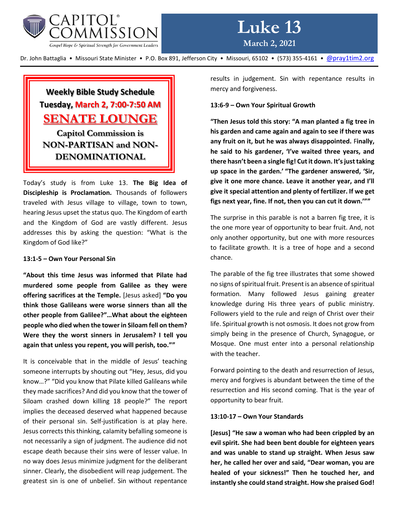

# **Weekly Bible Study Schedule Tuesday, March 2, 7:00-7:50 AM SENATE LOUNGE Capitol Commission is NON-PARTISAN and NON-DENOMINATIONAL**

Today's study is from Luke 13. **The Big Idea of Discipleship is Proclamation.** Thousands of followers traveled with Jesus village to village, town to town, hearing Jesus upset the status quo. The Kingdom of earth and the Kingdom of God are vastly different. Jesus addresses this by asking the question: "What is the Kingdom of God like?"

#### **13:1-5 – Own Your Personal Sin**

**"About this time Jesus was informed that Pilate had murdered some people from Galilee as they were offering sacrifices at the Temple.** [Jesus asked] **"Do you think those Galileans were worse sinners than all the other people from Galilee?"…What about the eighteen people who died when the tower in Siloam fell on them? Were they the worst sinners in Jerusalem? I tell you again that unless you repent, you will perish, too.""** 

It is conceivable that in the middle of Jesus' teaching someone interrupts by shouting out "Hey, Jesus, did you know…?" "Did you know that Pilate killed Galileans while they made sacrifices? And did you know that the tower of Siloam crashed down killing 18 people?" The report implies the deceased deserved what happened because of their personal sin. Self-justification is at play here. Jesus corrects this thinking, calamity befalling someone is not necessarily a sign of judgment. The audience did not escape death because their sins were of lesser value. In no way does Jesus minimize judgment for the deliberant sinner. Clearly, the disobedient will reap judgement. The greatest sin is one of unbelief. Sin without repentance

results in judgement. Sin with repentance results in mercy and forgiveness.

### **13:6-9 – Own Your Spiritual Growth**

**"Then Jesus told this story: "A man planted a fig tree in his garden and came again and again to see if there was any fruit on it, but he was always disappointed.** F**inally, he said to his gardener, 'I've waited three years, and there hasn't been a single fig! Cut it down. It's just taking up space in the garden.' "The gardener answered, 'Sir, give it one more chance. Leave it another year, and I'll give it special attention and plenty of fertilizer. If we get figs next year, fine. If not, then you can cut it down.'""**

The surprise in this parable is not a barren fig tree, it is the one more year of opportunity to bear fruit. And, not only another opportunity, but one with more resources to facilitate growth. It is a tree of hope and a second chance.

The parable of the fig tree illustrates that some showed no signs of spiritual fruit. Present is an absence of spiritual formation. Many followed Jesus gaining greater knowledge during His three years of public ministry. Followers yield to the rule and reign of Christ over their life. Spiritual growth is not osmosis. It does not grow from simply being in the presence of Church, Synagogue, or Mosque. One must enter into a personal relationship with the teacher.

Forward pointing to the death and resurrection of Jesus, mercy and forgives is abundant between the time of the resurrection and His second coming. That is the year of opportunity to bear fruit.

#### **13:10-17 – Own Your Standards**

**[Jesus] "He saw a woman who had been crippled by an evil spirit. She had been bent double for eighteen years and was unable to stand up straight. When Jesus saw her, he called her over and said, "Dear woman, you are healed of your sickness!" Then he touched her, and instantly she could stand straight. How she praised God!**